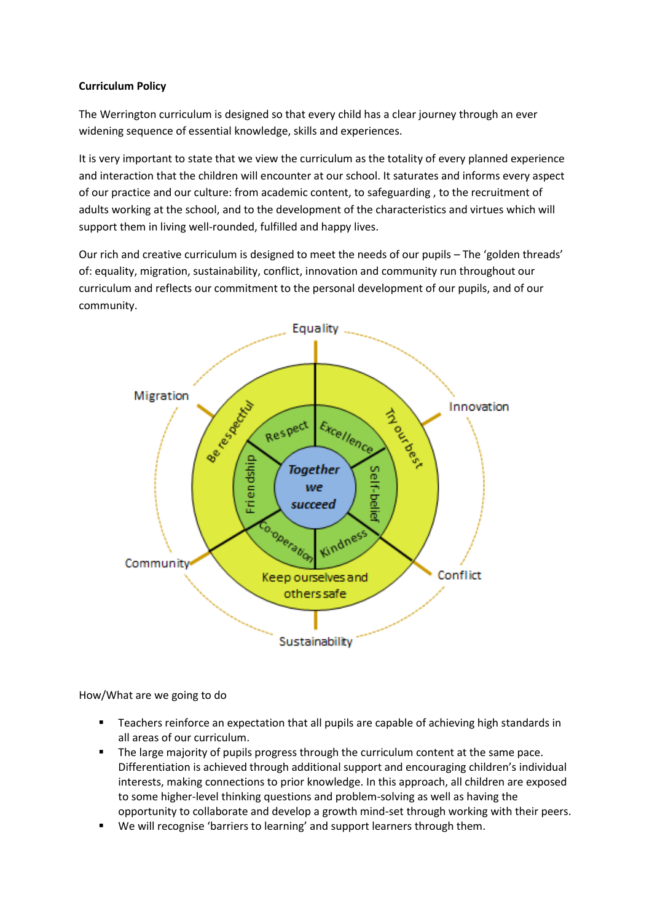## **Curriculum Policy**

The Werrington curriculum is designed so that every child has a clear journey through an ever widening sequence of essential knowledge, skills and experiences.

It is very important to state that we view the curriculum as the totality of every planned experience and interaction that the children will encounter at our school. It saturates and informs every aspect of our practice and our culture: from academic content, to safeguarding , to the recruitment of adults working at the school, and to the development of the characteristics and virtues which will support them in living well-rounded, fulfilled and happy lives.

Our rich and creative curriculum is designed to meet the needs of our pupils – The 'golden threads' of: equality, migration, sustainability, conflict, innovation and community run throughout our curriculum and reflects our commitment to the personal development of our pupils, and of our community.



How/What are we going to do

- **Teachers reinforce an expectation that all pupils are capable of achieving high standards in** all areas of our curriculum.
- The large majority of pupils progress through the curriculum content at the same pace. Differentiation is achieved through additional support and encouraging children's individual interests, making connections to prior knowledge. In this approach, all children are exposed to some higher-level thinking questions and problem-solving as well as having the opportunity to collaborate and develop a growth mind-set through working with their peers.
- We will recognise 'barriers to learning' and support learners through them.